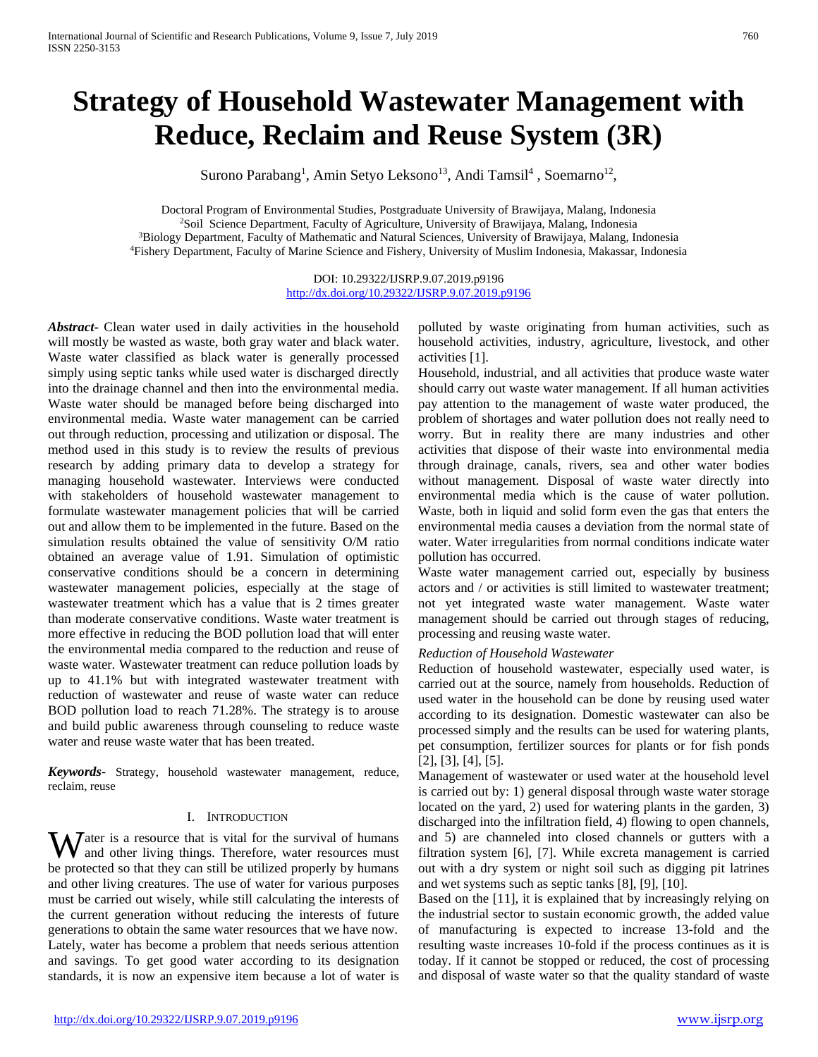# **Strategy of Household Wastewater Management with Reduce, Reclaim and Reuse System (3R)**

Surono Parabang<sup>1</sup>, Amin Setyo Leksono<sup>13</sup>, Andi Tamsil<sup>4</sup>, Soemarno<sup>12</sup>,

Doctoral Program of Environmental Studies, Postgraduate University of Brawijaya, Malang, Indonesia 2Soil Science Department, Faculty of Agriculture, University of Brawijaya, Malang, Indonesia 3Biology Department, Faculty of Mathematic and Natural Sciences, University of Brawijaya, Malang, Indonesia 4Fishery Department, Faculty of Marine Science and Fishery, University of Muslim Indonesia, Makassar, Indonesia

> DOI: 10.29322/IJSRP.9.07.2019.p9196 <http://dx.doi.org/10.29322/IJSRP.9.07.2019.p9196>

*Abstract***-** Clean water used in daily activities in the household will mostly be wasted as waste, both gray water and black water. Waste water classified as black water is generally processed simply using septic tanks while used water is discharged directly into the drainage channel and then into the environmental media. Waste water should be managed before being discharged into environmental media. Waste water management can be carried out through reduction, processing and utilization or disposal. The method used in this study is to review the results of previous research by adding primary data to develop a strategy for managing household wastewater. Interviews were conducted with stakeholders of household wastewater management to formulate wastewater management policies that will be carried out and allow them to be implemented in the future. Based on the simulation results obtained the value of sensitivity O/M ratio obtained an average value of 1.91. Simulation of optimistic conservative conditions should be a concern in determining wastewater management policies, especially at the stage of wastewater treatment which has a value that is 2 times greater than moderate conservative conditions. Waste water treatment is more effective in reducing the BOD pollution load that will enter the environmental media compared to the reduction and reuse of waste water. Wastewater treatment can reduce pollution loads by up to 41.1% but with integrated wastewater treatment with reduction of wastewater and reuse of waste water can reduce BOD pollution load to reach 71.28%. The strategy is to arouse and build public awareness through counseling to reduce waste water and reuse waste water that has been treated.

*Keywords*- Strategy, household wastewater management, reduce, reclaim, reuse

## I. INTRODUCTION

Water is a resource that is vital for the survival of humans<br>and other living things. Therefore, water resources must and other living things. Therefore, water resources must be protected so that they can still be utilized properly by humans and other living creatures. The use of water for various purposes must be carried out wisely, while still calculating the interests of the current generation without reducing the interests of future generations to obtain the same water resources that we have now. Lately, water has become a problem that needs serious attention and savings. To get good water according to its designation standards, it is now an expensive item because a lot of water is

polluted by waste originating from human activities, such as household activities, industry, agriculture, livestock, and other activities [1].

Household, industrial, and all activities that produce waste water should carry out waste water management. If all human activities pay attention to the management of waste water produced, the problem of shortages and water pollution does not really need to worry. But in reality there are many industries and other activities that dispose of their waste into environmental media through drainage, canals, rivers, sea and other water bodies without management. Disposal of waste water directly into environmental media which is the cause of water pollution. Waste, both in liquid and solid form even the gas that enters the environmental media causes a deviation from the normal state of water. Water irregularities from normal conditions indicate water pollution has occurred.

Waste water management carried out, especially by business actors and / or activities is still limited to wastewater treatment; not yet integrated waste water management. Waste water management should be carried out through stages of reducing, processing and reusing waste water.

## *Reduction of Household Wastewater*

Reduction of household wastewater, especially used water, is carried out at the source, namely from households. Reduction of used water in the household can be done by reusing used water according to its designation. Domestic wastewater can also be processed simply and the results can be used for watering plants, pet consumption, fertilizer sources for plants or for fish ponds [2], [3], [4], [5].

Management of wastewater or used water at the household level is carried out by: 1) general disposal through waste water storage located on the yard, 2) used for watering plants in the garden, 3) discharged into the infiltration field, 4) flowing to open channels, and 5) are channeled into closed channels or gutters with a filtration system [6], [7]. While excreta management is carried out with a dry system or night soil such as digging pit latrines and wet systems such as septic tanks [8], [9], [10].

Based on the [11], it is explained that by increasingly relying on the industrial sector to sustain economic growth, the added value of manufacturing is expected to increase 13-fold and the resulting waste increases 10-fold if the process continues as it is today. If it cannot be stopped or reduced, the cost of processing and disposal of waste water so that the quality standard of waste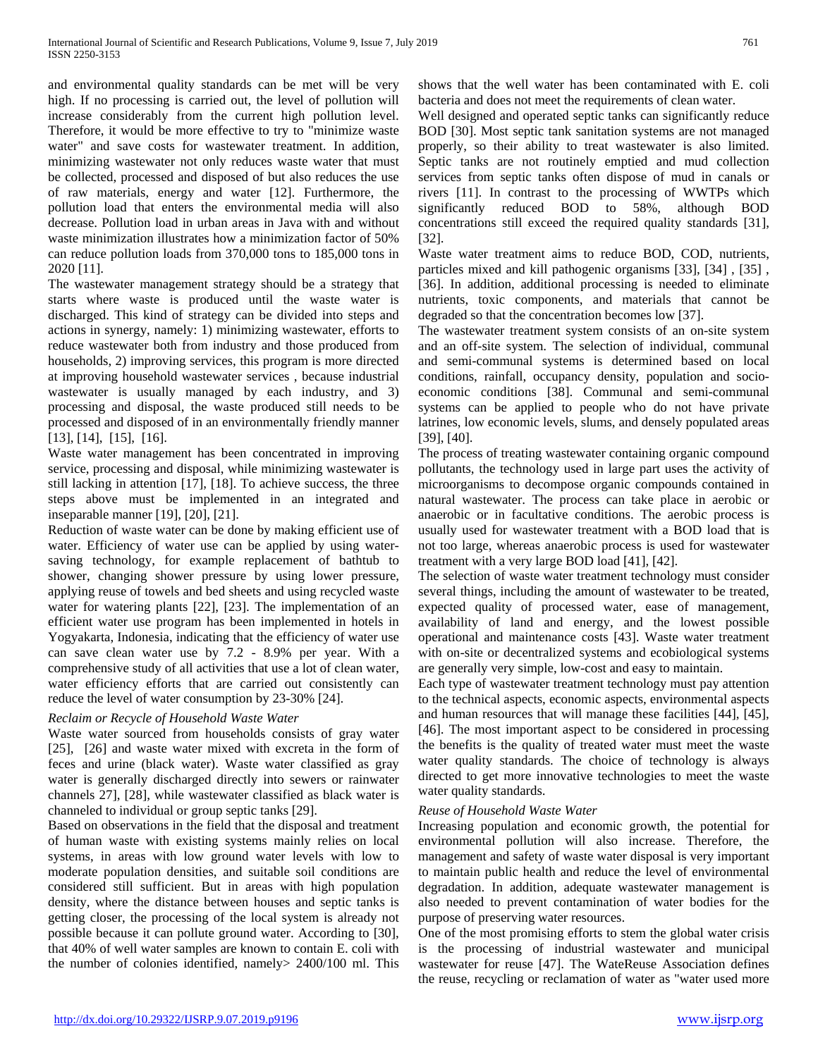and environmental quality standards can be met will be very high. If no processing is carried out, the level of pollution will increase considerably from the current high pollution level. Therefore, it would be more effective to try to "minimize waste water" and save costs for wastewater treatment. In addition, minimizing wastewater not only reduces waste water that must be collected, processed and disposed of but also reduces the use of raw materials, energy and water [12]. Furthermore, the pollution load that enters the environmental media will also decrease. Pollution load in urban areas in Java with and without waste minimization illustrates how a minimization factor of 50% can reduce pollution loads from 370,000 tons to 185,000 tons in 2020 [11].

The wastewater management strategy should be a strategy that starts where waste is produced until the waste water is discharged. This kind of strategy can be divided into steps and actions in synergy, namely: 1) minimizing wastewater, efforts to reduce wastewater both from industry and those produced from households, 2) improving services, this program is more directed at improving household wastewater services , because industrial wastewater is usually managed by each industry, and 3) processing and disposal, the waste produced still needs to be processed and disposed of in an environmentally friendly manner [13], [14], [15], [16].

Waste water management has been concentrated in improving service, processing and disposal, while minimizing wastewater is still lacking in attention [17], [18]. To achieve success, the three steps above must be implemented in an integrated and inseparable manner [19], [20], [21].

Reduction of waste water can be done by making efficient use of water. Efficiency of water use can be applied by using watersaving technology, for example replacement of bathtub to shower, changing shower pressure by using lower pressure, applying reuse of towels and bed sheets and using recycled waste water for watering plants [22], [23]. The implementation of an efficient water use program has been implemented in hotels in Yogyakarta, Indonesia, indicating that the efficiency of water use can save clean water use by 7.2 - 8.9% per year. With a comprehensive study of all activities that use a lot of clean water, water efficiency efforts that are carried out consistently can reduce the level of water consumption by 23-30% [24].

# *Reclaim or Recycle of Household Waste Water*

Waste water sourced from households consists of gray water [25], [26] and waste water mixed with excreta in the form of feces and urine (black water). Waste water classified as gray water is generally discharged directly into sewers or rainwater channels 27], [28], while wastewater classified as black water is channeled to individual or group septic tanks [29].

Based on observations in the field that the disposal and treatment of human waste with existing systems mainly relies on local systems, in areas with low ground water levels with low to moderate population densities, and suitable soil conditions are considered still sufficient. But in areas with high population density, where the distance between houses and septic tanks is getting closer, the processing of the local system is already not possible because it can pollute ground water. According to [30], that 40% of well water samples are known to contain E. coli with the number of colonies identified, namely> 2400/100 ml. This shows that the well water has been contaminated with E. coli bacteria and does not meet the requirements of clean water.

Well designed and operated septic tanks can significantly reduce BOD [30]. Most septic tank sanitation systems are not managed properly, so their ability to treat wastewater is also limited. Septic tanks are not routinely emptied and mud collection services from septic tanks often dispose of mud in canals or rivers [11]. In contrast to the processing of WWTPs which significantly reduced BOD to 58%, although BOD concentrations still exceed the required quality standards [31], [32].

Waste water treatment aims to reduce BOD, COD, nutrients, particles mixed and kill pathogenic organisms [33], [34] , [35] , [36]. In addition, additional processing is needed to eliminate nutrients, toxic components, and materials that cannot be degraded so that the concentration becomes low [37].

The wastewater treatment system consists of an on-site system and an off-site system. The selection of individual, communal and semi-communal systems is determined based on local conditions, rainfall, occupancy density, population and socioeconomic conditions [38]. Communal and semi-communal systems can be applied to people who do not have private latrines, low economic levels, slums, and densely populated areas [39], [40].

The process of treating wastewater containing organic compound pollutants, the technology used in large part uses the activity of microorganisms to decompose organic compounds contained in natural wastewater. The process can take place in aerobic or anaerobic or in facultative conditions. The aerobic process is usually used for wastewater treatment with a BOD load that is not too large, whereas anaerobic process is used for wastewater treatment with a very large BOD load [41], [42].

The selection of waste water treatment technology must consider several things, including the amount of wastewater to be treated, expected quality of processed water, ease of management, availability of land and energy, and the lowest possible operational and maintenance costs [43]. Waste water treatment with on-site or decentralized systems and ecobiological systems are generally very simple, low-cost and easy to maintain.

Each type of wastewater treatment technology must pay attention to the technical aspects, economic aspects, environmental aspects and human resources that will manage these facilities [44], [45], [46]. The most important aspect to be considered in processing the benefits is the quality of treated water must meet the waste water quality standards. The choice of technology is always directed to get more innovative technologies to meet the waste water quality standards.

## *Reuse of Household Waste Water*

Increasing population and economic growth, the potential for environmental pollution will also increase. Therefore, the management and safety of waste water disposal is very important to maintain public health and reduce the level of environmental degradation. In addition, adequate wastewater management is also needed to prevent contamination of water bodies for the purpose of preserving water resources.

One of the most promising efforts to stem the global water crisis is the processing of industrial wastewater and municipal wastewater for reuse [47]. The WateReuse Association defines the reuse, recycling or reclamation of water as "water used more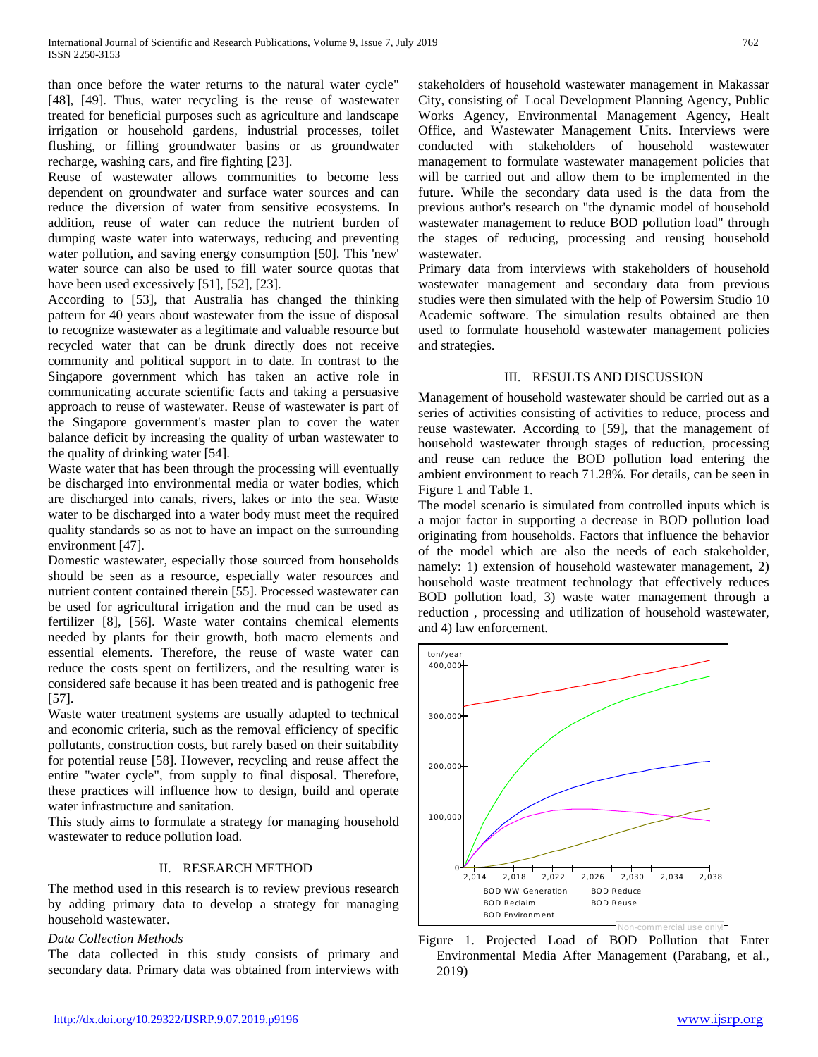than once before the water returns to the natural water cycle" [48], [49]. Thus, water recycling is the reuse of wastewater treated for beneficial purposes such as agriculture and landscape irrigation or household gardens, industrial processes, toilet flushing, or filling groundwater basins or as groundwater recharge, washing cars, and fire fighting [23].

Reuse of wastewater allows communities to become less dependent on groundwater and surface water sources and can reduce the diversion of water from sensitive ecosystems. In addition, reuse of water can reduce the nutrient burden of dumping waste water into waterways, reducing and preventing water pollution, and saving energy consumption [50]. This 'new' water source can also be used to fill water source quotas that have been used excessively [51], [52], [23].

According to [53], that Australia has changed the thinking pattern for 40 years about wastewater from the issue of disposal to recognize wastewater as a legitimate and valuable resource but recycled water that can be drunk directly does not receive community and political support in to date. In contrast to the Singapore government which has taken an active role in communicating accurate scientific facts and taking a persuasive approach to reuse of wastewater. Reuse of wastewater is part of the Singapore government's master plan to cover the water balance deficit by increasing the quality of urban wastewater to the quality of drinking water [54].

Waste water that has been through the processing will eventually be discharged into environmental media or water bodies, which are discharged into canals, rivers, lakes or into the sea. Waste water to be discharged into a water body must meet the required quality standards so as not to have an impact on the surrounding environment [47].

Domestic wastewater, especially those sourced from households should be seen as a resource, especially water resources and nutrient content contained therein [55]. Processed wastewater can be used for agricultural irrigation and the mud can be used as fertilizer [8], [56]. Waste water contains chemical elements needed by plants for their growth, both macro elements and essential elements. Therefore, the reuse of waste water can reduce the costs spent on fertilizers, and the resulting water is considered safe because it has been treated and is pathogenic free [57].

Waste water treatment systems are usually adapted to technical and economic criteria, such as the removal efficiency of specific pollutants, construction costs, but rarely based on their suitability for potential reuse [58]. However, recycling and reuse affect the entire "water cycle", from supply to final disposal. Therefore, these practices will influence how to design, build and operate water infrastructure and sanitation.

This study aims to formulate a strategy for managing household wastewater to reduce pollution load.

## II. RESEARCH METHOD

The method used in this research is to review previous research by adding primary data to develop a strategy for managing household wastewater.

# *Data Collection Methods*

The data collected in this study consists of primary and secondary data. Primary data was obtained from interviews with stakeholders of household wastewater management in Makassar City, consisting of Local Development Planning Agency, Public Works Agency, Environmental Management Agency, Healt Office, and Wastewater Management Units. Interviews were conducted with stakeholders of household wastewater management to formulate wastewater management policies that will be carried out and allow them to be implemented in the future. While the secondary data used is the data from the previous author's research on "the dynamic model of household wastewater management to reduce BOD pollution load" through the stages of reducing, processing and reusing household wastewater.

Primary data from interviews with stakeholders of household wastewater management and secondary data from previous studies were then simulated with the help of Powersim Studio 10 Academic software. The simulation results obtained are then used to formulate household wastewater management policies and strategies.

## III. RESULTS AND DISCUSSION

Management of household wastewater should be carried out as a series of activities consisting of activities to reduce, process and reuse wastewater. According to [59], that the management of household wastewater through stages of reduction, processing and reuse can reduce the BOD pollution load entering the ambient environment to reach 71.28%. For details, can be seen in Figure 1 and Table 1.

The model scenario is simulated from controlled inputs which is a major factor in supporting a decrease in BOD pollution load originating from households. Factors that influence the behavior of the model which are also the needs of each stakeholder, namely: 1) extension of household wastewater management, 2) household waste treatment technology that effectively reduces BOD pollution load, 3) waste water management through a reduction , processing and utilization of household wastewater, and 4) law enforcement.



Figure 1. Projected Load of BOD Pollution that Enter Environmental Media After Management (Parabang, et al., 2019)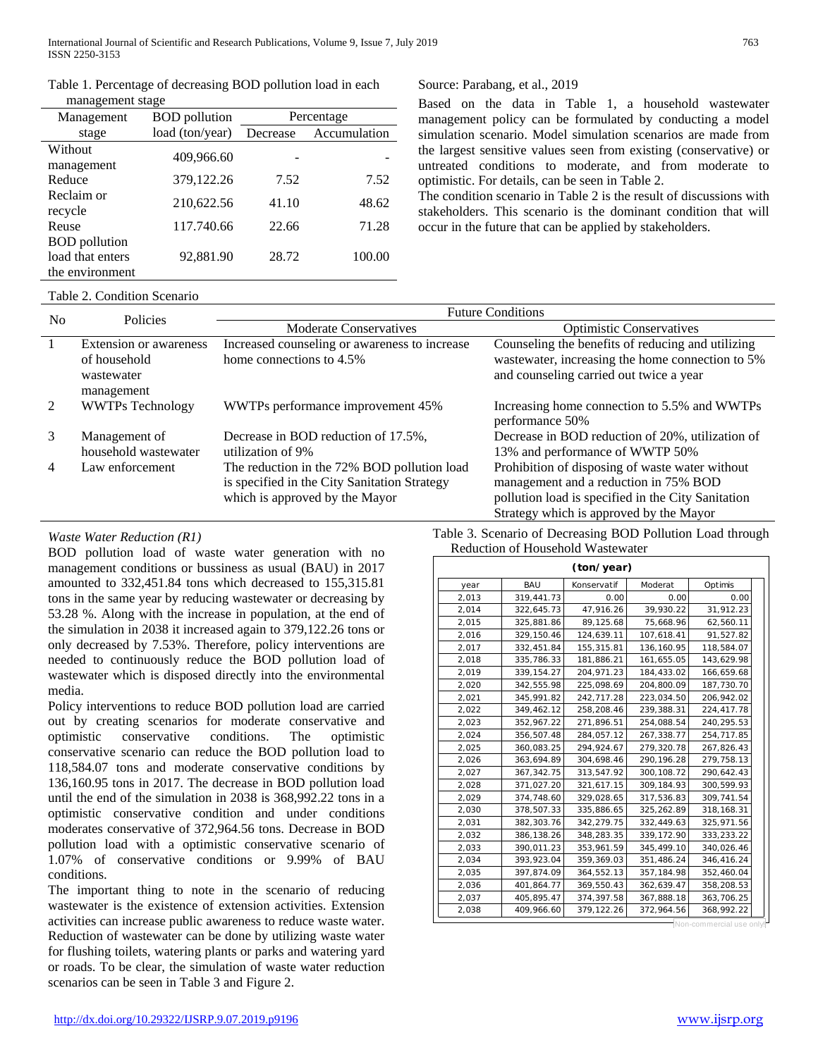Table 1. Percentage of decreasing BOD pollution load in each management stage

| management stage      |                      |            |              |  |
|-----------------------|----------------------|------------|--------------|--|
| Management            | <b>BOD</b> pollution | Percentage |              |  |
| stage                 | load (ton/year)      | Decrease   | Accumulation |  |
| Without<br>management | 409,966.60           |            |              |  |
| Reduce                | 379,122.26           | 7.52       | 7.52         |  |
| Reclaim or<br>recycle | 210,622.56           | 41.10      | 48.62        |  |
| Reuse                 | 117.740.66           | 22.66      | 71.28        |  |
| <b>BOD</b> pollution  |                      |            |              |  |
| load that enters      | 92,881.90            | 28.72      | 100.00       |  |
| the environment       |                      |            |              |  |

#### Source: Parabang, et al., 2019

Based on the data in Table 1, a household wastewater management policy can be formulated by conducting a model simulation scenario. Model simulation scenarios are made from the largest sensitive values seen from existing (conservative) or untreated conditions to moderate, and from moderate to optimistic. For details, can be seen in Table 2.

The condition scenario in Table 2 is the result of discussions with stakeholders. This scenario is the dominant condition that will occur in the future that can be applied by stakeholders.

#### Table 2. Condition Scenario

| Policies<br>N <sub>0</sub> |                                                                    | <b>Future Conditions</b>                                                                                                      |                                                                                                                                                                                           |  |  |
|----------------------------|--------------------------------------------------------------------|-------------------------------------------------------------------------------------------------------------------------------|-------------------------------------------------------------------------------------------------------------------------------------------------------------------------------------------|--|--|
|                            |                                                                    | <b>Moderate Conservatives</b>                                                                                                 | <b>Optimistic Conservatives</b>                                                                                                                                                           |  |  |
|                            | Extension or awareness<br>of household<br>wastewater<br>management | Increased counseling or awareness to increase<br>home connections to 4.5%                                                     | Counseling the benefits of reducing and utilizing<br>wastewater, increasing the home connection to 5%<br>and counseling carried out twice a year                                          |  |  |
| 2                          | <b>WWTPs Technology</b>                                            | WWTPs performance improvement 45%                                                                                             | Increasing home connection to 5.5% and WWTPs<br>performance 50%                                                                                                                           |  |  |
| 3                          | Management of<br>household wastewater                              | Decrease in BOD reduction of 17.5%,<br>utilization of 9%                                                                      | Decrease in BOD reduction of 20%, utilization of<br>13% and performance of WWTP 50%                                                                                                       |  |  |
| $\overline{4}$             | Law enforcement                                                    | The reduction in the 72% BOD pollution load<br>is specified in the City Sanitation Strategy<br>which is approved by the Mayor | Prohibition of disposing of waste water without<br>management and a reduction in 75% BOD<br>pollution load is specified in the City Sanitation<br>Strategy which is approved by the Mayor |  |  |

## *Waste Water Reduction (R1)*

BOD pollution load of waste water generation with no management conditions or bussiness as usual (BAU) in 2017 amounted to 332,451.84 tons which decreased to 155,315.81 tons in the same year by reducing wastewater or decreasing by 53.28 %. Along with the increase in population, at the end of the simulation in 2038 it increased again to 379,122.26 tons or only decreased by 7.53%. Therefore, policy interventions are needed to continuously reduce the BOD pollution load of wastewater which is disposed directly into the environmental media.

Policy interventions to reduce BOD pollution load are carried out by creating scenarios for moderate conservative and optimistic conservative conditions. The optimistic conservative scenario can reduce the BOD pollution load to 118,584.07 tons and moderate conservative conditions by 136,160.95 tons in 2017. The decrease in BOD pollution load until the end of the simulation in 2038 is 368,992.22 tons in a optimistic conservative condition and under conditions moderates conservative of 372,964.56 tons. Decrease in BOD pollution load with a optimistic conservative scenario of 1.07% of conservative conditions or 9.99% of BAU conditions.

The important thing to note in the scenario of reducing wastewater is the existence of extension activities. Extension activities can increase public awareness to reduce waste water. Reduction of wastewater can be done by utilizing waste water for flushing toilets, watering plants or parks and watering yard or roads. To be clear, the simulation of waste water reduction scenarios can be seen in Table 3 and Figure 2.

Table 3. Scenario of Decreasing BOD Pollution Load through Reduction of Household Wastewater

| (ton/year) |              |             |             |              |
|------------|--------------|-------------|-------------|--------------|
| year       | BAU          | Konservatif | Moderat     | Optimis      |
| 2,013      | 319,441.73   | 0.00        | 0.00        | 0.00         |
| 2,014      | 322,645.73   | 47,916.26   | 39.930.22   | 31,912.23    |
| 2,015      | 325,881.86   | 89,125.68   | 75,668.96   | 62,560.11    |
| 2,016      | 329, 150.46  | 124,639.11  | 107,618.41  | 91,527.82    |
| 2,017      | 332,451.84   | 155,315.81  | 136, 160.95 | 118,584.07   |
| 2,018      | 335,786.33   | 181,886.21  | 161,655.05  | 143,629.98   |
| 2,019      | 339, 154.27  | 204, 971.23 | 184,433.02  | 166,659.68   |
| 2,020      | 342,555.98   | 225,098.69  | 204,800.09  | 187,730.70   |
| 2,021      | 345,991.82   | 242,717.28  | 223,034.50  | 206,942.02   |
| 2,022      | 349,462.12   | 258,208.46  | 239,388.31  | 224,417.78   |
| 2,023      | 352.967.22   | 271.896.51  | 254,088.54  | 240, 295.53  |
| 2,024      | 356,507.48   | 284,057.12  | 267,338.77  | 254,717.85   |
| 2,025      | 360.083.25   | 294,924.67  | 279,320.78  | 267,826.43   |
| 2,026      | 363,694.89   | 304,698.46  | 290,196.28  | 279,758.13   |
| 2,027      | 367, 342. 75 | 313,547.92  | 300, 108.72 | 290,642.43   |
| 2,028      | 371,027.20   | 321,617.15  | 309, 184.93 | 300,599.93   |
| 2,029      | 374,748.60   | 329.028.65  | 317,536.83  | 309.741.54   |
| 2,030      | 378,507.33   | 335,886.65  | 325,262.89  | 318, 168. 31 |
| 2,031      | 382, 303. 76 | 342,279.75  | 332,449.63  | 325,971.56   |
| 2,032      | 386,138.26   | 348,283.35  | 339,172.90  | 333, 233. 22 |
| 2,033      | 390,011.23   | 353,961.59  | 345,499.10  | 340,026.46   |
| 2,034      | 393,923.04   | 359,369.03  | 351,486.24  | 346,416.24   |
| 2.035      | 397.874.09   | 364.552.13  | 357, 184.98 | 352.460.04   |
| 2,036      | 401,864.77   | 369,550.43  | 362,639.47  | 358,208.53   |
| 2,037      | 405.895.47   | 374,397.58  | 367,888.18  | 363,706.25   |
| 2,038      | 409,966.60   | 379,122.26  | 372,964.56  | 368,992.22   |

Non-commercial use only!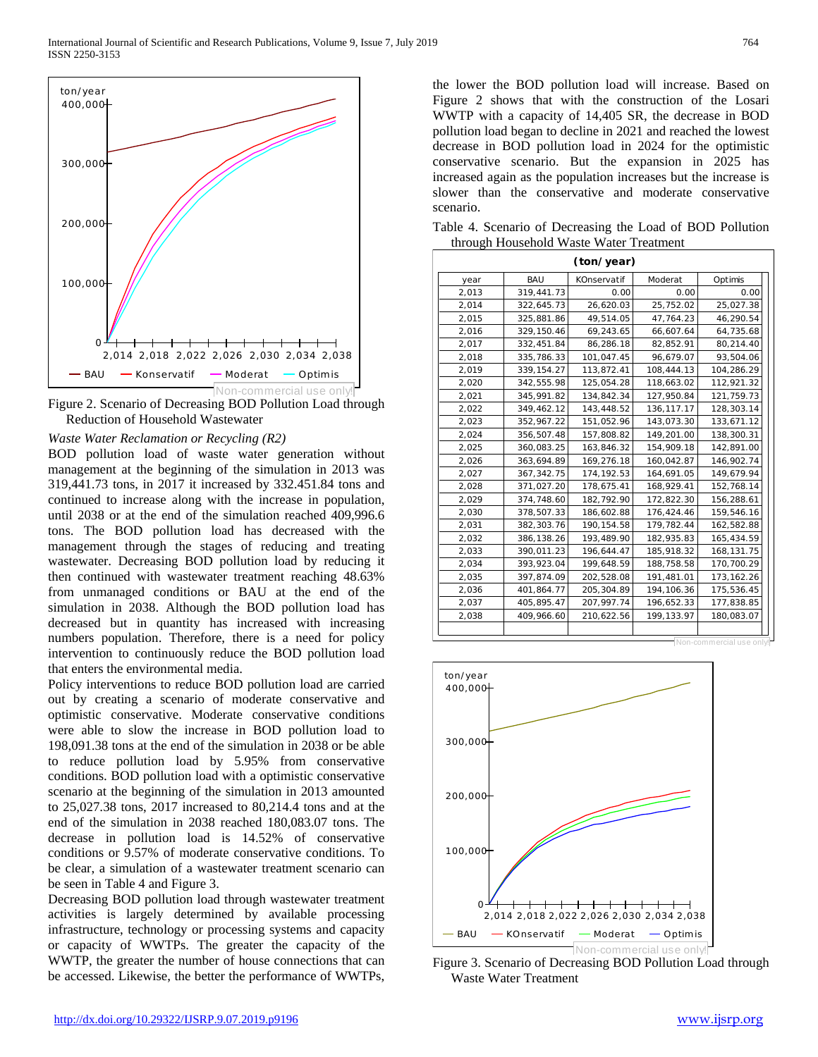

Figure 2. Scenario of Decreasing BOD Pollution Load through Reduction of Household Wastewater

#### *Waste Water Reclamation or Recycling (R2)*

BOD pollution load of waste water generation without management at the beginning of the simulation in 2013 was 319,441.73 tons, in 2017 it increased by 332.451.84 tons and continued to increase along with the increase in population, until 2038 or at the end of the simulation reached 409,996.6 tons. The BOD pollution load has decreased with the management through the stages of reducing and treating wastewater. Decreasing BOD pollution load by reducing it then continued with wastewater treatment reaching 48.63% from unmanaged conditions or BAU at the end of the simulation in 2038. Although the BOD pollution load has decreased but in quantity has increased with increasing numbers population. Therefore, there is a need for policy intervention to continuously reduce the BOD pollution load that enters the environmental media.

Policy interventions to reduce BOD pollution load are carried out by creating a scenario of moderate conservative and optimistic conservative. Moderate conservative conditions were able to slow the increase in BOD pollution load to 198,091.38 tons at the end of the simulation in 2038 or be able to reduce pollution load by 5.95% from conservative conditions. BOD pollution load with a optimistic conservative scenario at the beginning of the simulation in 2013 amounted to 25,027.38 tons, 2017 increased to 80,214.4 tons and at the end of the simulation in 2038 reached 180,083.07 tons. The decrease in pollution load is 14.52% of conservative conditions or 9.57% of moderate conservative conditions. To be clear, a simulation of a wastewater treatment scenario can be seen in Table 4 and Figure 3.

Decreasing BOD pollution load through wastewater treatment activities is largely determined by available processing infrastructure, technology or processing systems and capacity or capacity of WWTPs. The greater the capacity of the WWTP, the greater the number of house connections that can be accessed. Likewise, the better the performance of WWTPs,

the lower the BOD pollution load will increase. Based on Figure 2 shows that with the construction of the Losari WWTP with a capacity of 14,405 SR, the decrease in BOD pollution load began to decline in 2021 and reached the lowest decrease in BOD pollution load in 2024 for the optimistic conservative scenario. But the expansion in 2025 has increased again as the population increases but the increase is slower than the conservative and moderate conservative scenario.

Table 4. Scenario of Decreasing the Load of BOD Pollution through Household Waste Water Treatment

| (ton/year) |              |             |              |                          |
|------------|--------------|-------------|--------------|--------------------------|
| year       | BAU          | KOnservatif | Moderat      | Optimis                  |
| 2,013      | 319,441.73   | 0.00        | 0.00         | 0.00                     |
| 2,014      | 322,645.73   | 26,620.03   | 25,752.02    | 25,027.38                |
| 2,015      | 325,881.86   | 49,514.05   | 47,764.23    | 46,290.54                |
| 2,016      | 329,150.46   | 69,243.65   | 66,607.64    | 64,735.68                |
| 2,017      | 332,451.84   | 86,286.18   | 82,852.91    | 80,214.40                |
| 2,018      | 335,786.33   | 101,047.45  | 96,679.07    | 93,504.06                |
| 2,019      | 339, 154.27  | 113,872.41  | 108,444.13   | 104,286.29               |
| 2,020      | 342,555.98   | 125,054.28  | 118,663.02   | 112,921.32               |
| 2,021      | 345,991.82   | 134,842.34  | 127,950.84   | 121,759.73               |
| 2,022      | 349,462.12   | 143,448.52  | 136, 117. 17 | 128,303.14               |
| 2,023      | 352,967.22   | 151,052.96  | 143,073.30   | 133,671.12               |
| 2,024      | 356,507.48   | 157,808.82  | 149,201.00   | 138,300.31               |
| 2,025      | 360,083.25   | 163,846.32  | 154,909.18   | 142,891.00               |
| 2,026      | 363,694.89   | 169,276.18  | 160,042.87   | 146,902.74               |
| 2,027      | 367, 342. 75 | 174, 192.53 | 164,691.05   | 149,679.94               |
| 2,028      | 371,027.20   | 178,675.41  | 168,929.41   | 152,768.14               |
| 2,029      | 374,748.60   | 182,792.90  | 172,822.30   | 156,288.61               |
| 2,030      | 378,507.33   | 186,602.88  | 176,424.46   | 159,546.16               |
| 2,031      | 382, 303. 76 | 190, 154.58 | 179,782.44   | 162,582.88               |
| 2,032      | 386,138.26   | 193,489.90  | 182,935.83   | 165,434.59               |
| 2,033      | 390,011.23   | 196,644.47  | 185,918.32   | 168,131.75               |
| 2,034      | 393,923.04   | 199,648.59  | 188,758.58   | 170,700.29               |
| 2,035      | 397,874.09   | 202,528.08  | 191,481.01   | 173, 162. 26             |
| 2,036      | 401,864.77   | 205, 304.89 | 194, 106.36  | 175,536.45               |
| 2,037      | 405,895.47   | 207,997.74  | 196,652.33   | 177,838.85               |
| 2,038      | 409,966.60   | 210,622.56  | 199,133.97   | 180,083.07               |
|            |              |             |              |                          |
|            |              |             |              | Non-commercial use only! |



Figure 3. Scenario of Decreasing BOD Pollution Load through Waste Water Treatment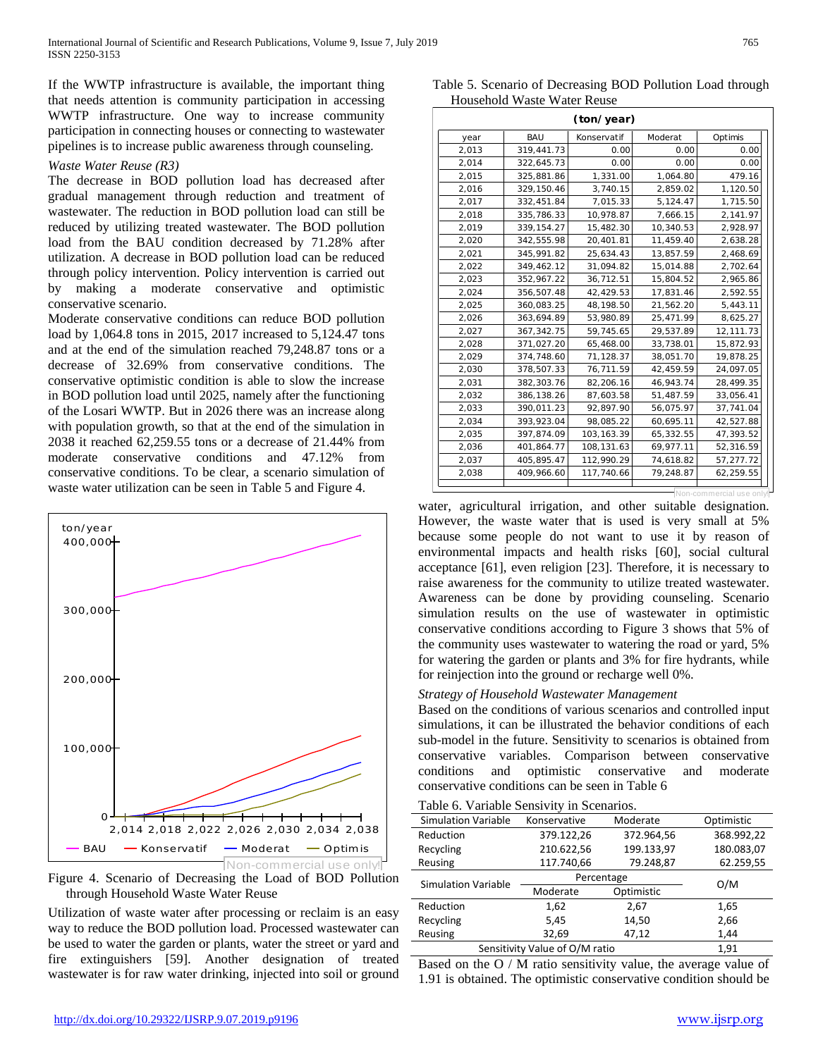If the WWTP infrastructure is available, the important thing that needs attention is community participation in accessing WWTP infrastructure. One way to increase community participation in connecting houses or connecting to wastewater pipelines is to increase public awareness through counseling.

## *Waste Water Reuse (R3)*

The decrease in BOD pollution load has decreased after gradual management through reduction and treatment of wastewater. The reduction in BOD pollution load can still be reduced by utilizing treated wastewater. The BOD pollution load from the BAU condition decreased by 71.28% after utilization. A decrease in BOD pollution load can be reduced through policy intervention. Policy intervention is carried out by making a moderate conservative and optimistic conservative scenario.

Moderate conservative conditions can reduce BOD pollution load by 1,064.8 tons in 2015, 2017 increased to 5,124.47 tons and at the end of the simulation reached 79,248.87 tons or a decrease of 32.69% from conservative conditions. The conservative optimistic condition is able to slow the increase in BOD pollution load until 2025, namely after the functioning of the Losari WWTP. But in 2026 there was an increase along with population growth, so that at the end of the simulation in 2038 it reached 62,259.55 tons or a decrease of 21.44% from moderate conservative conditions and 47.12% from conservative conditions. To be clear, a scenario simulation of waste water utilization can be seen in Table 5 and Figure 4.



Figure 4. Scenario of Decreasing the Load of BOD Pollution through Household Waste Water Reuse

Utilization of waste water after processing or reclaim is an easy way to reduce the BOD pollution load. Processed wastewater can be used to water the garden or plants, water the street or yard and fire extinguishers [59]. Another designation of treated wastewater is for raw water drinking, injected into soil or ground

Table 5. Scenario of Decreasing BOD Pollution Load through Household Waste Water Reuse

|       |              | (ton/year)  |           |           |
|-------|--------------|-------------|-----------|-----------|
| year  | <b>BAU</b>   | Konservatif | Moderat   | Optimis   |
| 2,013 | 319,441.73   | 0.00        | 0.00      | 0.00      |
| 2,014 | 322,645.73   | 0.00        | 0.00      | 0.00      |
| 2,015 | 325,881.86   | 1,331.00    | 1,064.80  | 479.16    |
| 2,016 | 329, 150.46  | 3,740.15    | 2,859.02  | 1,120.50  |
| 2,017 | 332,451.84   | 7,015.33    | 5,124.47  | 1,715.50  |
| 2,018 | 335,786.33   | 10,978.87   | 7,666.15  | 2,141.97  |
| 2,019 | 339, 154.27  | 15,482.30   | 10,340.53 | 2,928.97  |
| 2,020 | 342,555.98   | 20,401.81   | 11,459.40 | 2,638.28  |
| 2,021 | 345,991.82   | 25,634.43   | 13,857.59 | 2,468.69  |
| 2,022 | 349,462.12   | 31,094.82   | 15,014.88 | 2,702.64  |
| 2,023 | 352,967.22   | 36,712.51   | 15,804.52 | 2,965.86  |
| 2,024 | 356,507.48   | 42,429.53   | 17,831.46 | 2,592.55  |
| 2,025 | 360,083.25   | 48,198.50   | 21,562.20 | 5,443.11  |
| 2,026 | 363,694.89   | 53,980.89   | 25,471.99 | 8,625.27  |
| 2,027 | 367, 342. 75 | 59,745.65   | 29,537.89 | 12,111.73 |
| 2,028 | 371,027.20   | 65,468.00   | 33,738.01 | 15,872.93 |
| 2,029 | 374,748.60   | 71,128.37   | 38,051.70 | 19,878.25 |
| 2,030 | 378,507.33   | 76,711.59   | 42,459.59 | 24,097.05 |
| 2,031 | 382, 303.76  | 82,206.16   | 46,943.74 | 28,499.35 |
| 2,032 | 386, 138.26  | 87,603.58   | 51,487.59 | 33,056.41 |
| 2,033 | 390,011.23   | 92,897.90   | 56,075.97 | 37,741.04 |
| 2,034 | 393,923.04   | 98,085.22   | 60,695.11 | 42,527.88 |
| 2,035 | 397,874.09   | 103, 163.39 | 65,332.55 | 47,393.52 |
| 2,036 | 401,864.77   | 108,131.63  | 69,977.11 | 52,316.59 |
| 2,037 | 405,895.47   | 112,990.29  | 74,618.82 | 57,277.72 |
| 2,038 | 409,966.60   | 117,740.66  | 79,248.87 | 62,259.55 |

water, agricultural irrigation, and other suitable designation. However, the waste water that is used is very small at 5% because some people do not want to use it by reason of environmental impacts and health risks [60], social cultural acceptance [61], even religion [23]. Therefore, it is necessary to raise awareness for the community to utilize treated wastewater. Awareness can be done by providing counseling. Scenario simulation results on the use of wastewater in optimistic conservative conditions according to Figure 3 shows that 5% of the community uses wastewater to watering the road or yard, 5% for watering the garden or plants and 3% for fire hydrants, while for reinjection into the ground or recharge well 0%.

## *Strategy of Household Wastewater Management*

Based on the conditions of various scenarios and controlled input simulations, it can be illustrated the behavior conditions of each sub-model in the future. Sensitivity to scenarios is obtained from conservative variables. Comparison between conservative conditions and optimistic conservative and moderate conservative conditions can be seen in Table 6

|  |  |  |  | Table 6. Variable Sensivity in Scenarios. |
|--|--|--|--|-------------------------------------------|
|--|--|--|--|-------------------------------------------|

| Tuble 0. Turnole Densities in Decharlos. |              |            |            |  |
|------------------------------------------|--------------|------------|------------|--|
| <b>Simulation Variable</b>               | Konservative | Moderate   | Optimistic |  |
| Reduction                                | 379.122,26   | 372.964,56 | 368.992,22 |  |
| Recycling                                | 210.622,56   | 199.133,97 | 180.083,07 |  |
| Reusing                                  | 117.740,66   | 79.248,87  | 62.259,55  |  |
| <b>Simulation Variable</b>               | Percentage   |            | O/M        |  |
|                                          | Moderate     | Optimistic |            |  |
| Reduction                                | 1,62         | 2,67       | 1,65       |  |
| Recycling                                | 5,45         | 14,50      | 2,66       |  |
| Reusing                                  | 32,69        | 47,12      | 1,44       |  |
| Sensitivity Value of O/M ratio           | 1,91         |            |            |  |

Based on the O / M ratio sensitivity value, the average value of 1.91 is obtained. The optimistic conservative condition should be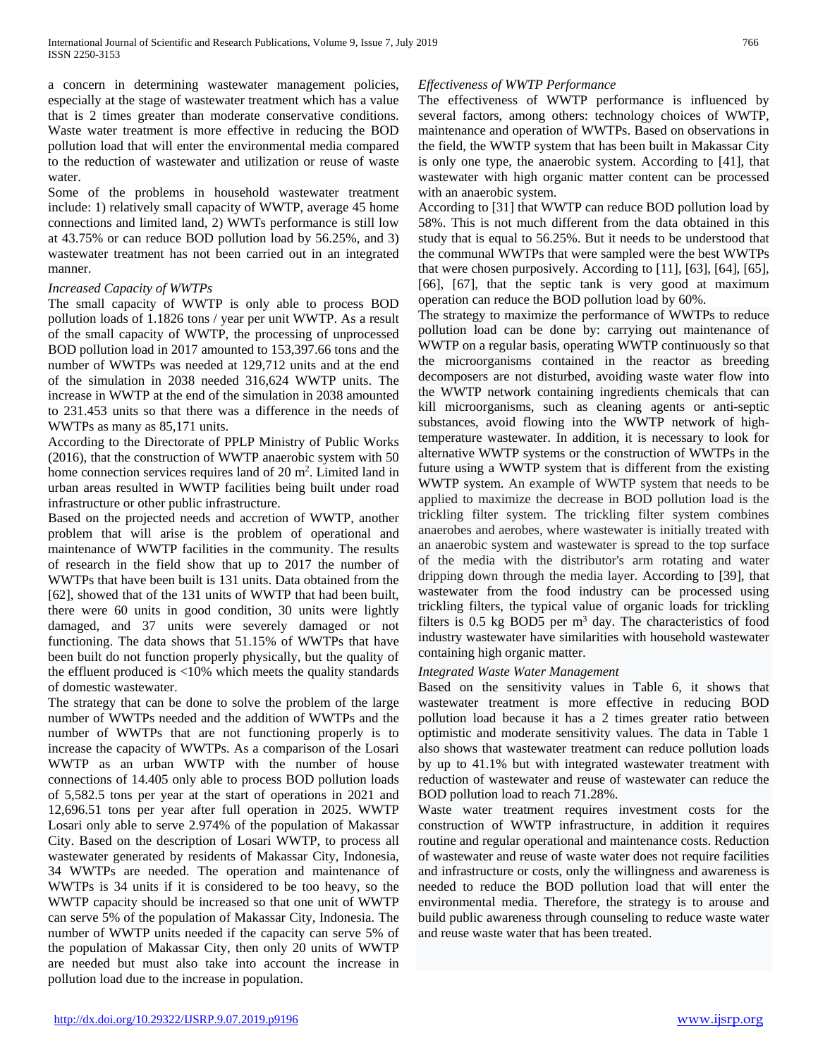a concern in determining wastewater management policies, especially at the stage of wastewater treatment which has a value that is 2 times greater than moderate conservative conditions. Waste water treatment is more effective in reducing the BOD pollution load that will enter the environmental media compared to the reduction of wastewater and utilization or reuse of waste water.

Some of the problems in household wastewater treatment include: 1) relatively small capacity of WWTP, average 45 home connections and limited land, 2) WWTs performance is still low at 43.75% or can reduce BOD pollution load by 56.25%, and 3) wastewater treatment has not been carried out in an integrated manner.

## *Increased Capacity of WWTPs*

The small capacity of WWTP is only able to process BOD pollution loads of 1.1826 tons / year per unit WWTP. As a result of the small capacity of WWTP, the processing of unprocessed BOD pollution load in 2017 amounted to 153,397.66 tons and the number of WWTPs was needed at 129,712 units and at the end of the simulation in 2038 needed 316,624 WWTP units. The increase in WWTP at the end of the simulation in 2038 amounted to 231.453 units so that there was a difference in the needs of WWTPs as many as 85,171 units.

According to the Directorate of PPLP Ministry of Public Works (2016), that the construction of WWTP anaerobic system with 50 home connection services requires land of 20 m<sup>2</sup>. Limited land in urban areas resulted in WWTP facilities being built under road infrastructure or other public infrastructure.

Based on the projected needs and accretion of WWTP, another problem that will arise is the problem of operational and maintenance of WWTP facilities in the community. The results of research in the field show that up to 2017 the number of WWTPs that have been built is 131 units. Data obtained from the [62], showed that of the 131 units of WWTP that had been built, there were 60 units in good condition, 30 units were lightly damaged, and 37 units were severely damaged or not functioning. The data shows that 51.15% of WWTPs that have been built do not function properly physically, but the quality of the effluent produced is <10% which meets the quality standards of domestic wastewater.

The strategy that can be done to solve the problem of the large number of WWTPs needed and the addition of WWTPs and the number of WWTPs that are not functioning properly is to increase the capacity of WWTPs. As a comparison of the Losari WWTP as an urban WWTP with the number of house connections of 14.405 only able to process BOD pollution loads of 5,582.5 tons per year at the start of operations in 2021 and 12,696.51 tons per year after full operation in 2025. WWTP Losari only able to serve 2.974% of the population of Makassar City. Based on the description of Losari WWTP, to process all wastewater generated by residents of Makassar City, Indonesia, 34 WWTPs are needed. The operation and maintenance of WWTPs is 34 units if it is considered to be too heavy, so the WWTP capacity should be increased so that one unit of WWTP can serve 5% of the population of Makassar City, Indonesia. The number of WWTP units needed if the capacity can serve 5% of the population of Makassar City, then only 20 units of WWTP are needed but must also take into account the increase in pollution load due to the increase in population.

# *Effectiveness of WWTP Performance*

The effectiveness of WWTP performance is influenced by several factors, among others: technology choices of WWTP, maintenance and operation of WWTPs. Based on observations in the field, the WWTP system that has been built in Makassar City is only one type, the anaerobic system. According to [41], that wastewater with high organic matter content can be processed with an anaerobic system.

According to [31] that WWTP can reduce BOD pollution load by 58%. This is not much different from the data obtained in this study that is equal to 56.25%. But it needs to be understood that the communal WWTPs that were sampled were the best WWTPs that were chosen purposively. According to [11], [63], [64], [65], [66], [67], that the septic tank is very good at maximum operation can reduce the BOD pollution load by 60%.

The strategy to maximize the performance of WWTPs to reduce pollution load can be done by: carrying out maintenance of WWTP on a regular basis, operating WWTP continuously so that the microorganisms contained in the reactor as breeding decomposers are not disturbed, avoiding waste water flow into the WWTP network containing ingredients chemicals that can kill microorganisms, such as cleaning agents or anti-septic substances, avoid flowing into the WWTP network of hightemperature wastewater. In addition, it is necessary to look for alternative WWTP systems or the construction of WWTPs in the future using a WWTP system that is different from the existing WWTP system. An example of WWTP system that needs to be applied to maximize the decrease in BOD pollution load is the trickling filter system. The trickling filter system combines anaerobes and aerobes, where wastewater is initially treated with an anaerobic system and wastewater is spread to the top surface of the media with the distributor's arm rotating and water dripping down through the media layer. According to [39], that wastewater from the food industry can be processed using trickling filters, the typical value of organic loads for trickling filters is  $0.5$  kg BOD5 per  $m<sup>3</sup>$  day. The characteristics of food industry wastewater have similarities with household wastewater containing high organic matter.

## *Integrated Waste Water Management*

Based on the sensitivity values in Table 6, it shows that wastewater treatment is more effective in reducing BOD pollution load because it has a 2 times greater ratio between optimistic and moderate sensitivity values. The data in Table 1 also shows that wastewater treatment can reduce pollution loads by up to 41.1% but with integrated wastewater treatment with reduction of wastewater and reuse of wastewater can reduce the BOD pollution load to reach 71.28%.

Waste water treatment requires investment costs for the construction of WWTP infrastructure, in addition it requires routine and regular operational and maintenance costs. Reduction of wastewater and reuse of waste water does not require facilities and infrastructure or costs, only the willingness and awareness is needed to reduce the BOD pollution load that will enter the environmental media. Therefore, the strategy is to arouse and build public awareness through counseling to reduce waste water and reuse waste water that has been treated.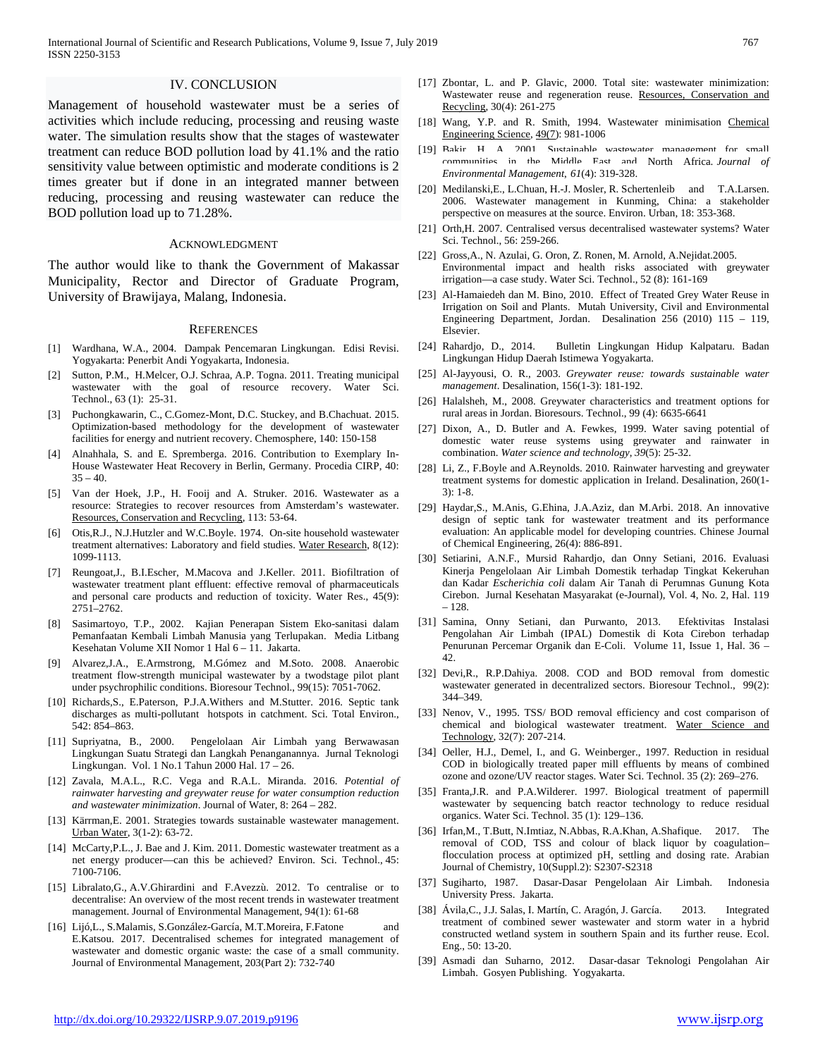#### IV. CONCLUSION

Management of household wastewater must be a series of activities which include reducing, processing and reusing waste water. The simulation results show that the stages of wastewater treatment can reduce BOD pollution load by 41.1% and the ratio sensitivity value between optimistic and moderate conditions is 2 times greater but if done in an integrated manner between reducing, processing and reusing wastewater can reduce the BOD pollution load up to 71.28%.

#### ACKNOWLEDGMENT

The author would like to thank the Government of Makassar Municipality, Rector and Director of Graduate Program, University of Brawijaya, Malang, Indonesia.

#### **REFERENCES**

- [1] Wardhana, W.A., 2004. Dampak Pencemaran Lingkungan. Edisi Revisi. Yogyakarta: Penerbit Andi Yogyakarta, Indonesia.
- [2] Sutton, P.M., H.Melcer, O.J. Schraa, A.P. Togna. 2011. Treating municipal wastewater with the goal of resource recovery. Water Sci. Technol., 63 (1): 25-31.
- [3] Puchongkawarin, C., C.Gomez-Mont, D.C. Stuckey, and B.Chachuat. 2015. Optimization-based methodology for the development of wastewater facilities for energy and nutrient recovery. Chemosphere, 140: 150-158
- [4] Alnahhala, S. and E. Spremberga. 2016. Contribution to Exemplary In-House Wastewater Heat Recovery in Berlin, Germany. Procedia CIRP, 40:  $35 - 40.$
- [5] Van [der Hoek, J.P.,](https://www.sciencedirect.com/science/article/pii/S0921344916301227#!) [H. Fooij and](https://www.sciencedirect.com/science/article/pii/S0921344916301227#!) [A. Struker. 2016.](https://www.sciencedirect.com/science/article/pii/S0921344916301227#!) Wastewater as a resource: Strategies to recover resources from Amsterdam's wastewater. [Resources, Conservation and Recycling,](https://www.sciencedirect.com/science/journal/09213449) 113: 53-64.
- [6] [Otis,R](https://www.sciencedirect.com/science/article/abs/pii/0043135474901547#!).J., [N.J.Hutzler](https://www.sciencedirect.com/science/article/abs/pii/0043135474901547#!) and [W.C.Boyle.](https://www.sciencedirect.com/science/article/abs/pii/0043135474901547#!) 1974. On-site household wastewater treatment alternatives: Laboratory and field studies. [Water Research,](https://www.sciencedirect.com/science/journal/00431354) 8(12): 1099-1113.
- [7] Reungoat,J., B.I.Escher, M.Macova and J.Keller. 2011. Biofiltration of wastewater treatment plant effluent: effective removal of pharmaceuticals and personal care products and reduction of toxicity. Water Res., 45(9): 2751–2762.
- [8] Sasimartoyo, T.P., 2002. Kajian Penerapan Sistem Eko-sanitasi dalam Pemanfaatan Kembali Limbah Manusia yang Terlupakan. Media Litbang Kesehatan Volume XII Nomor 1 Hal 6 – 11. Jakarta.
- [9] [Alvarez,J.A.,](http://europepmc.org/search;jsessionid=179FE1676D9531F33CADC1DE7465ACD6?query=AUTH:%22Alvarez+JA%22&page=1) [E.Armstrong,](http://europepmc.org/search;jsessionid=179FE1676D9531F33CADC1DE7465ACD6?query=AUTH:%22Armstrong+E%22&page=1) [M.Gómez](http://europepmc.org/search;jsessionid=179FE1676D9531F33CADC1DE7465ACD6?query=AUTH:%22G%C3%B3mez+M%22&page=1) and [M.Soto.](http://europepmc.org/search;jsessionid=179FE1676D9531F33CADC1DE7465ACD6?query=AUTH:%22G%C3%B3mez+M%22&page=1) 2008. Anaerobic treatment flow-strength municipal wastewater by a twodstage pilot plant under psychrophilic conditions. Bioresour Technol., 99(15): 7051-7062.
- [10] Richards, S., E.Paterson, P.J.A. Withers and M. Stutter. 2016. Septic tank discharges as multi-pollutant hotspots in catchment. Sci. Total Environ., 542: 854–863.
- [11] Supriyatna, B., 2000. Pengelolaan Air Limbah yang Berwawasan Lingkungan Suatu Strategi dan Langkah Penanganannya. Jurnal Teknologi Lingkungan. Vol. 1 No.1 Tahun 2000 Hal. 17 – 26.
- [12] Zavala, M.A.L., R.C. Vega and R.A.L. Miranda. 2016. *Potential of rainwater harvesting and greywater reuse for water consumption reduction and wastewater minimization*. Journal of Water, 8: 264 – 282.
- [13] [Kärrman,E](https://www.sciencedirect.com/science/article/pii/S1462075801000188#!). 2001. Strategies towards sustainable wastewater management. [Urban Water,](https://www.sciencedirect.com/science/journal/14620758) 3(1-2): 63-72.
- [14] McCarty, P.L., J. Bae and J. Kim. 2011. Domestic wastewater treatment as a net energy producer—can this be achieved? Environ. Sci. Technol., 45: 7100-7106.
- [15] Libralato,G., A.V.Ghirardini and F.Avezzù. 2012. To centralise or to decentralise: An overview of the most recent trends in wastewater treatment management. Journal of Environmental Management, 94(1): 61-68
- [16] Lijó,L., S.Malamis, S.González-García, M.T.Moreira, F.Fatone and E.Katsou. 2017. Decentralised schemes for integrated management of wastewater and domestic organic waste: the case of a small community. Journal of Environmental Management, 203(Part 2): 732-740
- [17] [Zbontar,](https://www.sciencedirect.com/science/article/pii/S0921344900000641#!) L. and [P. Glavic,](https://www.sciencedirect.com/science/article/pii/S0921344900000641#!) 2000. Total site: wastewater minimization: Wastewater reuse and regeneration reuse. [Resources, Conservation and](https://www.sciencedirect.com/science/journal/09213449)  [Recycling,](https://www.sciencedirect.com/science/journal/09213449) 30(4): 261-275
- [18] [Wang, Y.P. and R. Smith,](https://www.sciencedirect.com/science/article/pii/0009250994800065#!) 1994. Wastewater minimisation Chemical [Engineering Science,](https://www.sciencedirect.com/science/journal/00092509) [49\(7\)](https://www.sciencedirect.com/science/journal/00092509/49/7): 981-1006
- [19] Bakir. H. A. 2001. Sustainable wastewater management for small communities in the Middle East and North Africa. *Journal of Environmental Management*, *61*(4): 319-328.
- [20] Medilanski,E., L.Chuan, H.-J. Mosler, R. Schertenleib and T.A.Larsen. 2006. Wastewater management in Kunming, China: a stakeholder perspective on measures at the source. Environ. Urban, 18: 353-368.
- [21] Orth,H. 2007. Centralised versus decentralised wastewater systems? Water Sci. Technol., 56: 259-266.
- [22] Gross,A., N. Azulai, G. Oron, Z. Ronen, M. Arnold, A.Nejidat.2005. Environmental impact and health risks associated with greywater irrigation—a case study. Water Sci. Technol., 52 (8): 161-169
- [23] Al-Hamaiedeh dan M. Bino, 2010. Effect of Treated Grey Water Reuse in Irrigation on Soil and Plants. Mutah University, Civil and Environmental Engineering Department, Jordan. Desalination 256 (2010) 115 – 119, Elsevier.
- [24] Rahardjo, D., 2014. Bulletin Lingkungan Hidup Kalpataru. Badan Lingkungan Hidup Daerah Istimewa Yogyakarta.
- [25] Al-Jayyousi, O. R., 2003. *Greywater reuse: towards sustainable water management*. Desalination, 156(1-3): 181-192.
- [26] Halalsheh, M., 2008. Greywater characteristics and treatment options for rural areas in Jordan. Bioresours. Technol., 99 (4): 6635-6641
- [27] Dixon, A., D. Butler and A. Fewkes, 1999. Water saving potential of domestic water reuse systems using greywater and rainwater in combination. *Water science and technology*, *39*(5): 25-32.
- [28] Li, Z., F.Boyle and A.Reynolds. 2010. Rainwater harvesting and greywater treatment systems for domestic application in Ireland. Desalination, 260(1- 3): 1-8.
- [29] [Haydar,S., M.Anis, G.Ehina, J.A.Aziz, dan M.Arbi. 2018.](https://www.sciencedirect.com/science/article/pii/S1004954117303038#!) An innovative design of septic tank for wastewater treatment and its performance evaluation: An applicable model for developing countries. Chinese Journal of Chemical Engineering, 26(4): 886-891.
- [30] Setiarini, A.N.F., Mursid Rahardjo, dan Onny Setiani, 2016. Evaluasi Kinerja Pengelolaan Air Limbah Domestik terhadap Tingkat Kekeruhan dan Kadar *Escherichia coli* dalam Air Tanah di Perumnas Gunung Kota Cirebon. Jurnal Kesehatan Masyarakat (e-Journal), Vol. 4, No. 2, Hal. 119 – 128.
- [31] Samina, Onny Setiani, dan Purwanto, 2013. Efektivitas Instalasi Pengolahan Air Limbah (IPAL) Domestik di Kota Cirebon terhadap Penurunan Percemar Organik dan E-Coli. Volume 11, Issue 1, Hal. 36 – 42.
- [32] Devi,R., R.P.Dahiya. 2008. COD and BOD removal from domestic wastewater generated in decentralized sectors. Bioresour Technol., 99(2): 344–349.
- [33] [Nenov,](https://www.sciencedirect.com/science/article/pii/0273122396000662#!) V., 1995. TSS/ BOD removal efficiency and cost comparison of chemical and biological wastewater treatment. [Water Science and](https://www.sciencedirect.com/science/journal/02731223)  [Technology,](https://www.sciencedirect.com/science/journal/02731223) 32(7): 207-214.
- [34] Oeller, H.J., Demel, I., and G. Weinberger., 1997. Reduction in residual COD in biologically treated paper mill effluents by means of combined ozone and ozone/UV reactor stages. Water Sci. Technol. 35 (2): 269–276.
- [35] Franta, J.R. and P.A.Wilderer. 1997. Biological treatment of papermill wastewater by sequencing batch reactor technology to reduce residual organics. Water Sci. Technol. 35 (1): 129–136.
- [36] Irfan,M., T.Butt, N.Imtiaz, N.Abbas, R.A.Khan, A.Shafique. 2017. The removal of COD, TSS and colour of black liquor by coagulation– flocculation process at optimized pH, settling and dosing rate. Arabian Journal of Chemistry, 10(Suppl.2): S2307-S2318
- [37] Sugiharto, 1987. Dasar-Dasar Pengelolaan Air Limbah. Indonesia University Press. Jakarta.
- [38] Ávila,C., J.J. Salas, I. Martín, C. Aragón, J. García. 2013. Integrated treatment of combined sewer wastewater and storm water in a hybrid constructed wetland system in southern Spain and its further reuse. Ecol. Eng., 50: 13-20.
- [39] Asmadi dan Suharno, 2012. Dasar-dasar Teknologi Pengolahan Air Limbah. Gosyen Publishing. Yogyakarta.